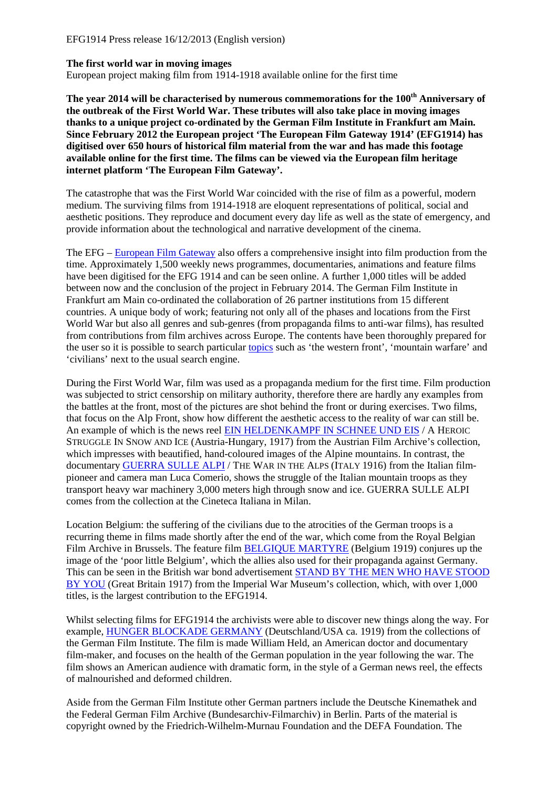EFG1914 Press release 16/12/2013 (English version)

## **The first world war in moving images**

European project making film from 1914-1918 available online for the first time

**The year 2014 will be characterised by numerous commemorations for the 100th Anniversary of the outbreak of the First World War. These tributes will also take place in moving images thanks to a unique project co-ordinated by the German Film Institute in Frankfurt am Main. Since February 2012 the European project 'The European Film Gateway 1914' (EFG1914) has digitised over 650 hours of historical film material from the war and has made this footage available online for the first time. The films can be viewed via the European film heritage internet platform 'The European Film Gateway'.** 

The catastrophe that was the First World War coincided with the rise of film as a powerful, modern medium. The surviving films from 1914-1918 are eloquent representations of political, social and aesthetic positions. They reproduce and document every day life as well as the state of emergency, and provide information about the technological and narrative development of the cinema.

The EFG – European Film Gateway also offers a comprehensive insight into film production from the time. Approximately 1,500 weekly news programmes, documentaries, animations and feature films have been digitised for the EFG 1914 and can be seen online. A further 1,000 titles will be added between now and the conclusion of the project in February 2014. The German Film Institute in Frankfurt am Main co-ordinated the collaboration of 26 partner institutions from 15 different countries. A unique body of work; featuring not only all of the phases and locations from the First World War but also all genres and sub-genres (from propaganda films to anti-war films), has resulted from contributions from film archives across Europe. The contents have been thoroughly prepared for the user so it is possible to search particular topics such as 'the western front', 'mountain warfare' and 'civilians' next to the usual search engine.

During the First World War, film was used as a propaganda medium for the first time. Film production was subjected to strict censorship on military authority, therefore there are hardly any examples from the battles at the front, most of the pictures are shot behind the front or during exercises. Two films, that focus on the Alp Front, show how different the aesthetic access to the reality of war can still be. An example of which is the news reel EIN HELDENKAMPF IN SCHNEE UND EIS / A HEROIC STRUGGLE IN SNOW AND ICE (Austria-Hungary, 1917) from the Austrian Film Archive's collection, which impresses with beautified, hand-coloured images of the Alpine mountains. In contrast, the documentary GUERRA SULLE ALPI / THE WAR IN THE ALPS (ITALY 1916) from the Italian filmpioneer and camera man Luca Comerio, shows the struggle of the Italian mountain troops as they transport heavy war machinery 3,000 meters high through snow and ice. GUERRA SULLE ALPI comes from the collection at the Cineteca Italiana in Milan.

Location Belgium: the suffering of the civilians due to the atrocities of the German troops is a recurring theme in films made shortly after the end of the war, which come from the Royal Belgian Film Archive in Brussels. The feature film BELGIQUE MARTYRE (Belgium 1919) conjures up the image of the 'poor little Belgium', which the allies also used for their propaganda against Germany. This can be seen in the British war bond advertisement STAND BY THE MEN WHO HAVE STOOD BY YOU (Great Britain 1917) from the Imperial War Museum's collection, which, with over 1,000 titles, is the largest contribution to the EFG1914.

Whilst selecting films for EFG1914 the archivists were able to discover new things along the way. For example, HUNGER BLOCKADE GERMANY (Deutschland/USA ca. 1919) from the collections of the German Film Institute. The film is made William Held, an American doctor and documentary film-maker, and focuses on the health of the German population in the year following the war. The film shows an American audience with dramatic form, in the style of a German news reel, the effects of malnourished and deformed children.

Aside from the German Film Institute other German partners include the Deutsche Kinemathek and the Federal German Film Archive (Bundesarchiv-Filmarchiv) in Berlin. Parts of the material is copyright owned by the Friedrich-Wilhelm-Murnau Foundation and the DEFA Foundation. The